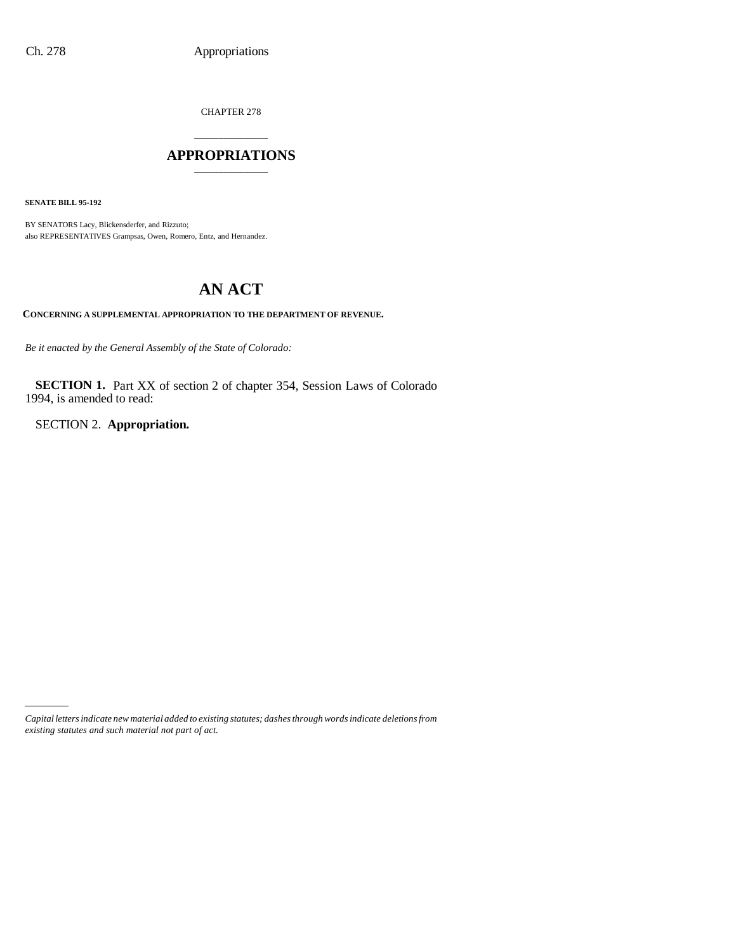CHAPTER 278

## \_\_\_\_\_\_\_\_\_\_\_\_\_\_\_ **APPROPRIATIONS** \_\_\_\_\_\_\_\_\_\_\_\_\_\_\_

**SENATE BILL 95-192**

BY SENATORS Lacy, Blickensderfer, and Rizzuto; also REPRESENTATIVES Grampsas, Owen, Romero, Entz, and Hernandez.

# **AN ACT**

**CONCERNING A SUPPLEMENTAL APPROPRIATION TO THE DEPARTMENT OF REVENUE.**

*Be it enacted by the General Assembly of the State of Colorado:*

**SECTION 1.** Part XX of section 2 of chapter 354, Session Laws of Colorado 1994, is amended to read:

SECTION 2. **Appropriation.**

*Capital letters indicate new material added to existing statutes; dashes through words indicate deletions from existing statutes and such material not part of act.*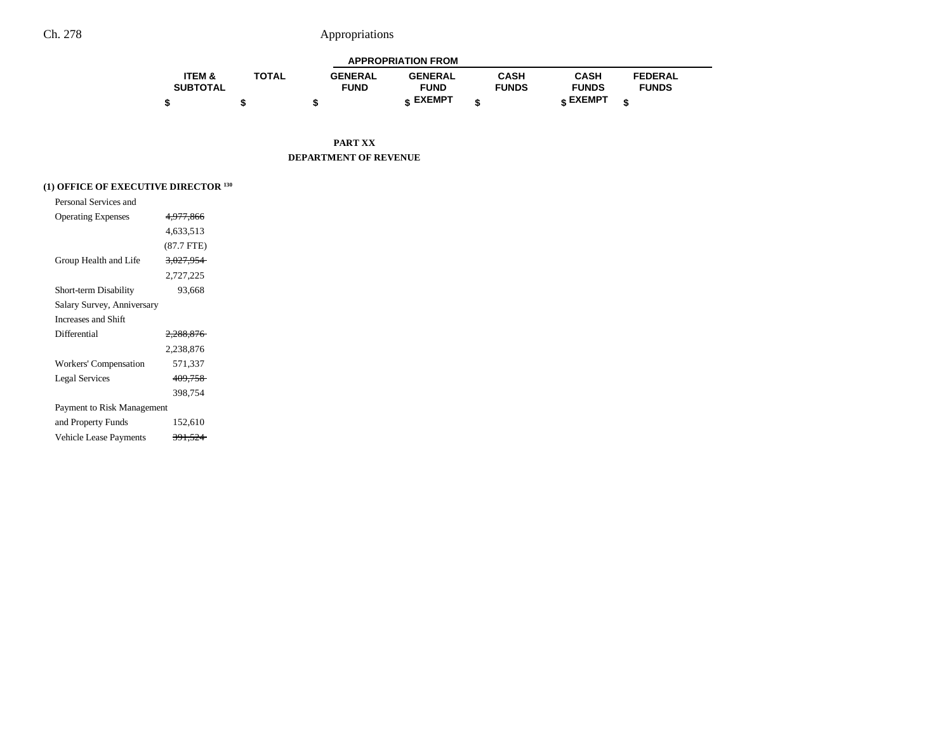|                   |              |                | <b>APPROPRIATION FROM</b> |              |              |                |  |
|-------------------|--------------|----------------|---------------------------|--------------|--------------|----------------|--|
| <b>ITEM &amp;</b> | <b>TOTAL</b> | <b>GENERAL</b> | <b>GENERAL</b>            | CASH         | CASH         | <b>FEDERAL</b> |  |
| <b>SUBTOTAL</b>   |              | <b>FUND</b>    | <b>FUND</b>               | <b>FUNDS</b> | <b>FUNDS</b> | <b>FUNDS</b>   |  |
|                   |              |                | <b>« EXEMPT</b>           |              | e EXEMPT     |                |  |

**PART XX DEPARTMENT OF REVENUE**

## **(1) OFFICE OF EXECUTIVE DIRECTOR 130**

| Personal Services and      |                      |
|----------------------------|----------------------|
| <b>Operating Expenses</b>  | 4,977,866            |
|                            | 4,633,513            |
|                            | (87.7 FTE)           |
| Group Health and Life      | <del>3,027,954</del> |
|                            | 2,727,225            |
| Short-term Disability      | 93,668               |
| Salary Survey, Anniversary |                      |
| Increases and Shift        |                      |
| Differential               | 2.288.876            |
|                            | 2,238,876            |
| Workers' Compensation      | 571,337              |
| <b>Legal Services</b>      | 409,758              |
|                            | 398,754              |
| Payment to Risk Management |                      |
| and Property Funds         | 152,610              |
| Vehicle Lease Payments     | <del>391.524</del>   |
|                            |                      |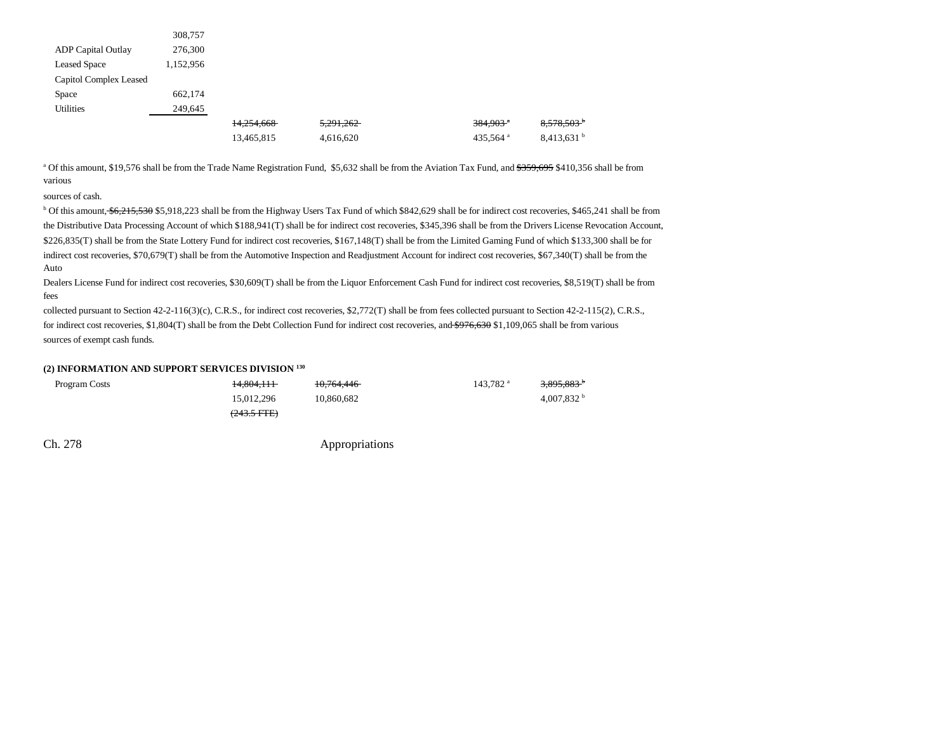|                           | 308,757   |            |           |                        |                          |
|---------------------------|-----------|------------|-----------|------------------------|--------------------------|
| <b>ADP</b> Capital Outlay | 276,300   |            |           |                        |                          |
| <b>Leased Space</b>       | 1,152,956 |            |           |                        |                          |
| Capitol Complex Leased    |           |            |           |                        |                          |
| Space                     | 662.174   |            |           |                        |                          |
| <b>Utilities</b>          | 249,645   |            |           |                        |                          |
|                           |           | 14,254,668 | 5.291.262 | $384,903$ <sup>a</sup> | $8,578,503$ <sup>b</sup> |
|                           |           | 13,465,815 | 4,616,620 | 435,564 <sup>a</sup>   | $8,413,631$ <sup>b</sup> |

<sup>a</sup> Of this amount, \$19,576 shall be from the Trade Name Registration Fund, \$5,632 shall be from the Aviation Tax Fund, and \$359,695 \$410,356 shall be from various

sources of cash.

<sup>b</sup> Of this amount, \$6,215,530 \$5,918,223 shall be from the Highway Users Tax Fund of which \$842,629 shall be for indirect cost recoveries, \$465,241 shall be from the Distributive Data Processing Account of which \$188,941(T) shall be for indirect cost recoveries, \$345,396 shall be from the Drivers License Revocation Account, \$226,835(T) shall be from the State Lottery Fund for indirect cost recoveries, \$167,148(T) shall be from the Limited Gaming Fund of which \$133,300 shall be for indirect cost recoveries, \$70,679(T) shall be from the Automotive Inspection and Readjustment Account for indirect cost recoveries, \$67,340(T) shall be from the Auto

Dealers License Fund for indirect cost recoveries, \$30,609(T) shall be from the Liquor Enforcement Cash Fund for indirect cost recoveries, \$8,519(T) shall be from fees

collected pursuant to Section 42-2-116(3)(c), C.R.S., for indirect cost recoveries, \$2,772(T) shall be from fees collected pursuant to Section 42-2-115(2), C.R.S., for indirect cost recoveries, \$1,804(T) shall be from the Debt Collection Fund for indirect cost recoveries, and \$976,630 \$1,109,065 shall be from various sources of exempt cash funds.

### **(2) INFORMATION AND SUPPORT SERVICES DIVISION 130**

| Program Costs | 14.804.111            | 10.764.446 | $143.782$ <sup>a</sup> | <del>3,895,883</del> |
|---------------|-----------------------|------------|------------------------|----------------------|
|               | 15.012.296            | 10.860.682 |                        | $4,007,832$ b        |
|               | $(243.5 \text{ FFE})$ |            |                        |                      |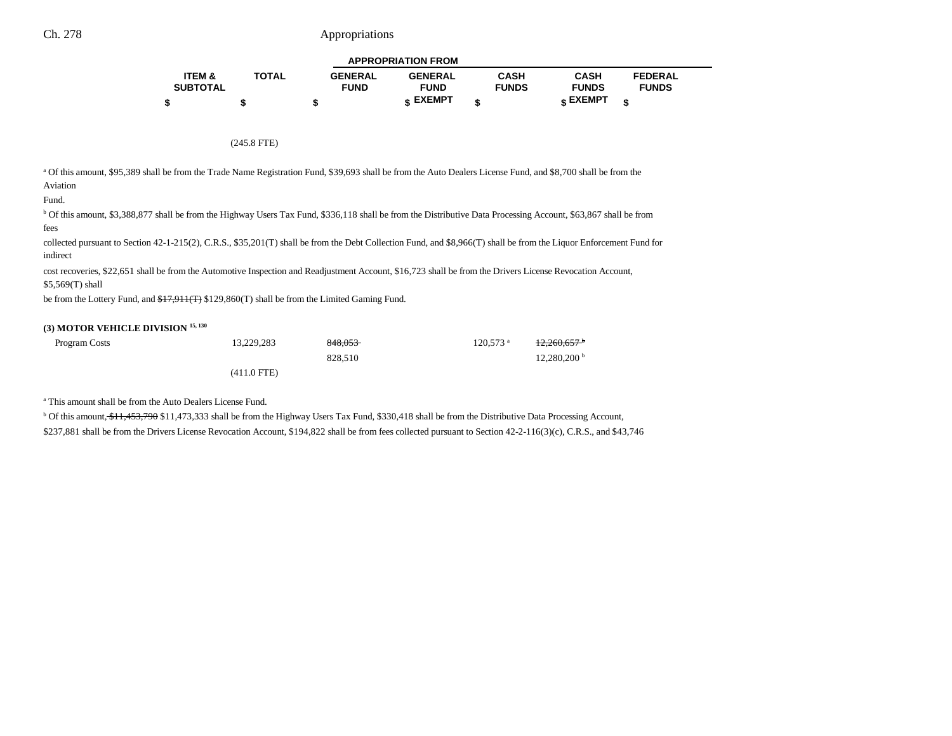|                   |              |                | <b>APPROPRIATION FROM</b> |              |                 |                |  |
|-------------------|--------------|----------------|---------------------------|--------------|-----------------|----------------|--|
| <b>ITEM &amp;</b> | <b>TOTAL</b> | <b>GENERAL</b> | <b>GENERAL</b>            | CASH         | <b>CASH</b>     | <b>FEDERAL</b> |  |
| <b>SUBTOTAL</b>   |              | <b>FUND</b>    | <b>FUND</b>               | <b>FUNDS</b> | <b>FUNDS</b>    | <b>FUNDS</b>   |  |
|                   |              |                | c EXEMPT                  |              | <b>« EXEMPT</b> |                |  |

#### (245.8 FTE)

a Of this amount, \$95,389 shall be from the Trade Name Registration Fund, \$39,693 shall be from the Auto Dealers License Fund, and \$8,700 shall be from the Aviation

#### Fund.

b Of this amount, \$3,388,877 shall be from the Highway Users Tax Fund, \$336,118 shall be from the Distributive Data Processing Account, \$63,867 shall be from fees

collected pursuant to Section 42-1-215(2), C.R.S., \$35,201(T) shall be from the Debt Collection Fund, and \$8,966(T) shall be from the Liquor Enforcement Fund for indirect

cost recoveries, \$22,651 shall be from the Automotive Inspection and Readjustment Account, \$16,723 shall be from the Drivers License Revocation Account, \$5,569(T) shall

be from the Lottery Fund, and  $f(7,911)$  \$129,860(T) shall be from the Limited Gaming Fund.

### **(3) MOTOR VEHICLE DIVISION 15, 130**

| Program Costs | 13.229.283    | 848.053 | $120.573$ <sup>a</sup> | $+2.260.657$              |
|---------------|---------------|---------|------------------------|---------------------------|
|               |               | 828.510 |                        | $12,280,200^{\mathrm{b}}$ |
|               | $(411.0$ FTE) |         |                        |                           |

a This amount shall be from the Auto Dealers License Fund.

<sup>b</sup> Of this amount, \$11,453,790 \$11,473,333 shall be from the Highway Users Tax Fund, \$330,418 shall be from the Distributive Data Processing Account, \$237,881 shall be from the Drivers License Revocation Account, \$194,822 shall be from fees collected pursuant to Section 42-2-116(3)(c), C.R.S., and \$43,746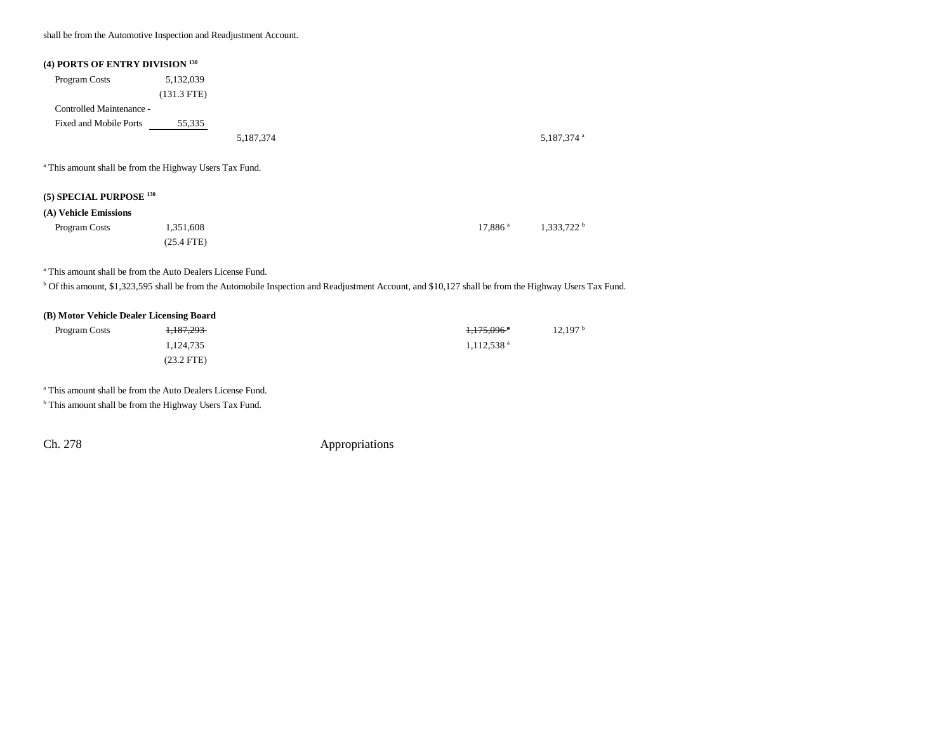shall be from the Automotive Inspection and Readjustment Account.

| (4) PORTS OF ENTRY DIVISION 130                                    |               |           |  |                        |
|--------------------------------------------------------------------|---------------|-----------|--|------------------------|
| Program Costs                                                      | 5,132,039     |           |  |                        |
|                                                                    | $(131.3$ FTE) |           |  |                        |
| Controlled Maintenance -                                           |               |           |  |                        |
| Fixed and Mobile Ports                                             | 55,335        |           |  |                        |
|                                                                    |               | 5,187,374 |  | 5,187,374 <sup>a</sup> |
| <sup>a</sup> This amount shall be from the Highway Users Tax Fund. |               |           |  |                        |
| (5) SPECIAL PURPOSE $^{130}$                                       |               |           |  |                        |

### **(A) Vehicle Emissions**

| Program Costs | 1,351,608    | $17.886$ a | $1,333,722$ b |
|---------------|--------------|------------|---------------|
|               | $(25.4$ FTE) |            |               |

a This amount shall be from the Auto Dealers License Fund.

<sup>b</sup> Of this amount, \$1,323,595 shall be from the Automobile Inspection and Readjustment Account, and \$10,127 shall be from the Highway Users Tax Fund.

#### **(B) Motor Vehicle Dealer Licensing Board**

| Program Costs | 1,187,293    | 1,175,096 <sup>*</sup>   | $12,197^{\circ}$ |
|---------------|--------------|--------------------------|------------------|
|               | 1,124,735    | $1,112,538$ <sup>a</sup> |                  |
|               | $(23.2$ FTE) |                          |                  |

a This amount shall be from the Auto Dealers License Fund.

<sup>b</sup> This amount shall be from the Highway Users Tax Fund.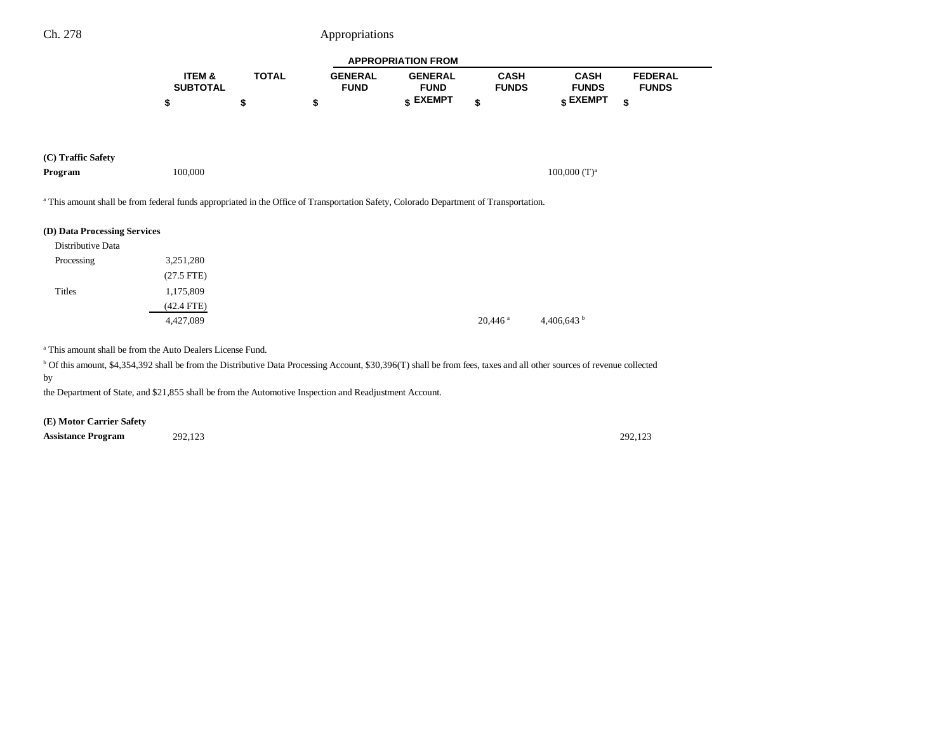|                 |              |                | <b>APPROPRIATION FROM</b> |              |              |                |  |
|-----------------|--------------|----------------|---------------------------|--------------|--------------|----------------|--|
| ITEM &          | <b>TOTAL</b> | <b>GENERAL</b> | <b>GENERAL</b>            | <b>CASH</b>  | <b>CASH</b>  | <b>FEDERAL</b> |  |
| <b>SUBTOTAL</b> |              | <b>FUND</b>    | <b>FUND</b>               | <b>FUNDS</b> | <b>FUNDS</b> | <b>FUNDS</b>   |  |
|                 |              |                | <b>« EXEMPT</b>           |              | EXEMPT ہ     |                |  |

|  | (C) Traffic Safety |  |
|--|--------------------|--|
|--|--------------------|--|

| Program | 100.000 | $100,000$ (T) <sup><math>\circ</math></sup> |
|---------|---------|---------------------------------------------|
|         |         |                                             |

a This amount shall be from federal funds appropriated in the Office of Transportation Safety, Colorado Department of Transportation.

### **(D) Data Processing Services**

| Distributive Data |              |                       |                      |
|-------------------|--------------|-----------------------|----------------------|
| Processing        | 3,251,280    |                       |                      |
|                   | $(27.5$ FTE) |                       |                      |
| Titles            | 1,175,809    |                       |                      |
|                   | $(42.4$ FTE) |                       |                      |
|                   | 4,427,089    | $20,446$ <sup>a</sup> | 4,406,643 $^{\rm b}$ |

a This amount shall be from the Auto Dealers License Fund.

<sup>b</sup> Of this amount, \$4,354,392 shall be from the Distributive Data Processing Account, \$30,396(T) shall be from fees, taxes and all other sources of revenue collected by

the Department of State, and \$21,855 shall be from the Automotive Inspection and Readjustment Account.

**(E) Motor Carrier Safety**

**Assistance Program** 292,123 292,123 292,123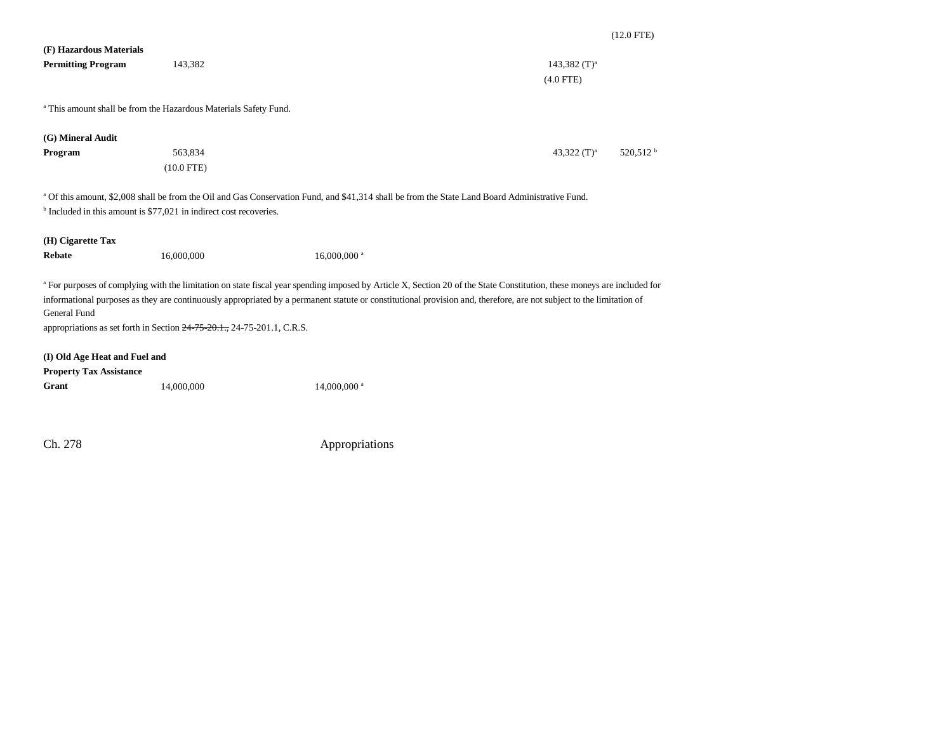| (F) Hazardous Materials                 |                                                                               |                                                                                                                                                                         |                                        |
|-----------------------------------------|-------------------------------------------------------------------------------|-------------------------------------------------------------------------------------------------------------------------------------------------------------------------|----------------------------------------|
| <b>Permitting Program</b>               | 143,382                                                                       |                                                                                                                                                                         | 143,382 $(T)^a$                        |
|                                         |                                                                               |                                                                                                                                                                         | $(4.0$ FTE)                            |
|                                         |                                                                               |                                                                                                                                                                         |                                        |
|                                         | <sup>a</sup> This amount shall be from the Hazardous Materials Safety Fund.   |                                                                                                                                                                         |                                        |
| (G) Mineral Audit                       |                                                                               |                                                                                                                                                                         |                                        |
| Program                                 | 563,834                                                                       |                                                                                                                                                                         | 520,512 <sup>b</sup><br>43,322 $(T)^a$ |
|                                         | $(10.0$ FTE)                                                                  |                                                                                                                                                                         |                                        |
|                                         |                                                                               |                                                                                                                                                                         |                                        |
|                                         |                                                                               | <sup>a</sup> Of this amount, \$2,008 shall be from the Oil and Gas Conservation Fund, and \$41,314 shall be from the State Land Board Administrative Fund.              |                                        |
|                                         | <sup>b</sup> Included in this amount is \$77,021 in indirect cost recoveries. |                                                                                                                                                                         |                                        |
| (H) Cigarette Tax                       |                                                                               |                                                                                                                                                                         |                                        |
| <b>Rebate</b>                           | 16,000,000                                                                    | 16,000,000 <sup>a</sup>                                                                                                                                                 |                                        |
|                                         |                                                                               |                                                                                                                                                                         |                                        |
|                                         |                                                                               | a For purposes of complying with the limitation on state fiscal year spending imposed by Article X, Section 20 of the State Constitution, these moneys are included for |                                        |
|                                         |                                                                               | informational purposes as they are continuously appropriated by a permanent statute or constitutional provision and, therefore, are not subject to the limitation of    |                                        |
| General Fund                            |                                                                               |                                                                                                                                                                         |                                        |
|                                         | appropriations as set forth in Section $24-75-20.1$ , $24-75-201.1$ , C.R.S.  |                                                                                                                                                                         |                                        |
|                                         |                                                                               |                                                                                                                                                                         |                                        |
| (I) Old Age Heat and Fuel and           |                                                                               |                                                                                                                                                                         |                                        |
| <b>Property Tax Assistance</b><br>Grant |                                                                               |                                                                                                                                                                         |                                        |
|                                         | 14,000,000                                                                    | 14,000,000 <sup>a</sup>                                                                                                                                                 |                                        |
|                                         |                                                                               |                                                                                                                                                                         |                                        |
|                                         |                                                                               |                                                                                                                                                                         |                                        |
| Ch. 278                                 |                                                                               | Appropriations                                                                                                                                                          |                                        |

(12.0 FTE)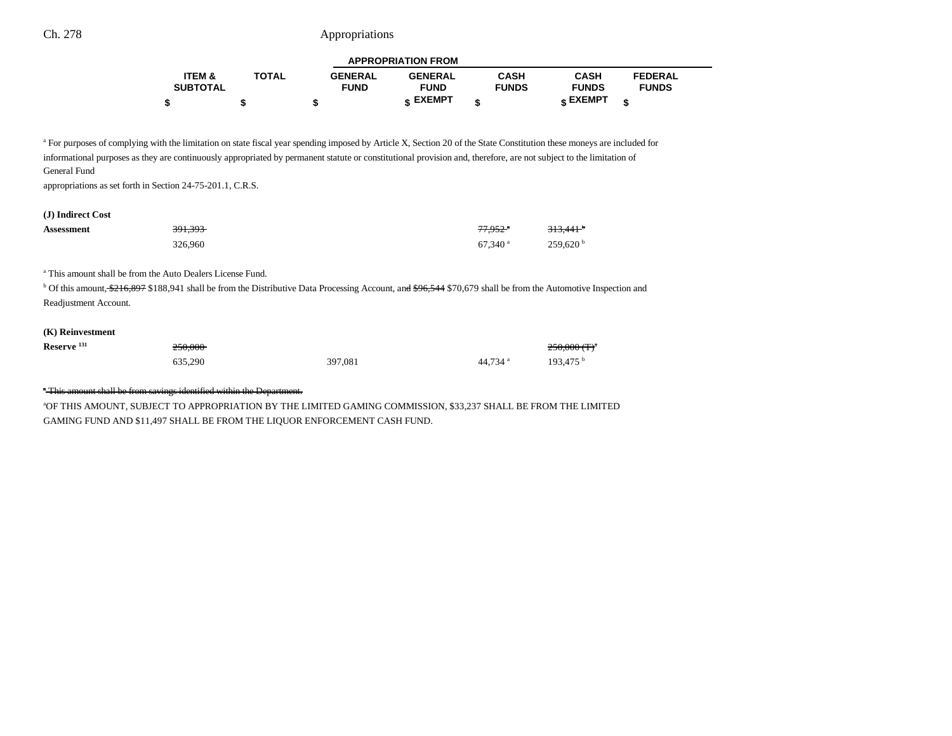|                   |              |                | <b>APPROPRIATION FROM</b> |              |                 |                |  |
|-------------------|--------------|----------------|---------------------------|--------------|-----------------|----------------|--|
| <b>ITEM &amp;</b> | <b>TOTAL</b> | <b>GENERAL</b> | <b>GENERAL</b>            | <b>CASH</b>  | <b>CASH</b>     | <b>FEDERAL</b> |  |
| <b>SUBTOTAL</b>   |              | <b>FUND</b>    | <b>FUND</b>               | <b>FUNDS</b> | <b>FUNDS</b>    | <b>FUNDS</b>   |  |
|                   |              |                | <b>« EXEMPT</b>           |              | <b>« EXEMPT</b> |                |  |

<sup>a</sup> For purposes of complying with the limitation on state fiscal year spending imposed by Article X, Section 20 of the State Constitution these moneys are included for informational purposes as they are continuously appropriated by permanent statute or constitutional provision and, therefore, are not subject to the limitation of General Fund

appropriations as set forth in Section 24-75-201.1, C.R.S.

## **(J) Indirect Cost**

| <b>Assessment</b> | <del>391,393</del> | 77.952 <sup>*</sup>   | <del>313,441</del> <sup>b</sup> |
|-------------------|--------------------|-----------------------|---------------------------------|
|                   | 326,960            | $67.340$ <sup>a</sup> | 259.620 <sup>b</sup>            |

a This amount shall be from the Auto Dealers License Fund.

<sup>b</sup> Of this amount, \$216,897 \$188,941 shall be from the Distributive Data Processing Account, an<del>d \$96,544</del> \$70,679 shall be from the Automotive Inspection and Readjustment Account.

### **(K) Reinvestment**

| Reserve <sup>131</sup> | <del>250.000</del> |         |          | $250,000$ (T) <sup><math>\prime</math></sup> |
|------------------------|--------------------|---------|----------|----------------------------------------------|
|                        | 635,290            | 397,081 | 44.734 a | $193.475^{\mathrm{b}}$                       |

<sup>\*</sup>This amount shall be from savings identified within the Department.

aOF THIS AMOUNT, SUBJECT TO APPROPRIATION BY THE LIMITED GAMING COMMISSION, \$33,237 SHALL BE FROM THE LIMITED GAMING FUND AND \$11,497 SHALL BE FROM THE LIQUOR ENFORCEMENT CASH FUND.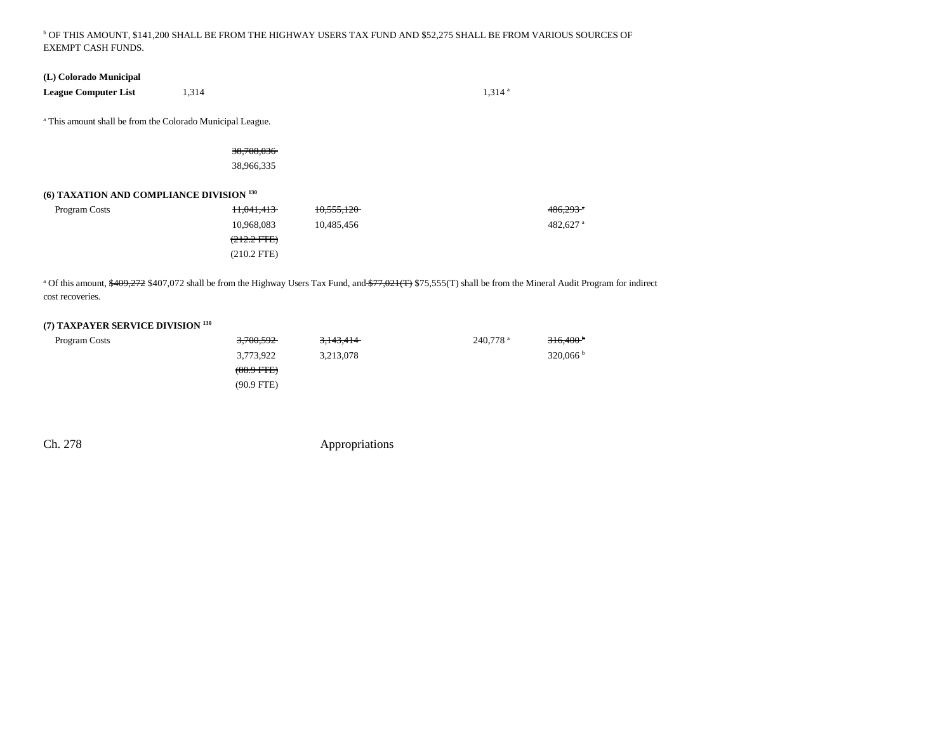## b OF THIS AMOUNT, \$141,200 SHALL BE FROM THE HIGHWAY USERS TAX FUND AND \$52,275 SHALL BE FROM VARIOUS SOURCES OF EXEMPT CASH FUNDS.

### **(L) Colorado Municipal**

**League Computer List** 1,314 **1,314 a** 1,314 **1** 

a This amount shall be from the Colorado Municipal League.

38,708,036

38,966,335

## **(6) TAXATION AND COMPLIANCE DIVISION 130**

| Program Costs | <del>11,041,413</del> | 10,555,120 | $486,293$ <sup>a</sup> |
|---------------|-----------------------|------------|------------------------|
|               | 10.968.083            | 10.485.456 | 482.627 $^{\rm a}$     |
|               | $(212.2 \text{ FFE})$ |            |                        |
|               | $(210.2$ FTE)         |            |                        |

<sup>a</sup> Of this amount, \$409,272 \$407,072 shall be from the Highway Users Tax Fund, and \$77,021(T) \$75,555(T) shall be from the Mineral Audit Program for indirect cost recoveries.

## **(7) TAXPAYER SERVICE DIVISION 130**

| Program Costs | <del>3,700,592</del> | <del>3,143,414</del> | 240.778 <sup>a</sup> | 316,400 <sup>b</sup> |
|---------------|----------------------|----------------------|----------------------|----------------------|
|               | 3,773,922            | 3,213,078            |                      | $320,066^{\circ}$    |
|               | $(88.9$ FTE $)$      |                      |                      |                      |
|               | $(90.9$ FTE)         |                      |                      |                      |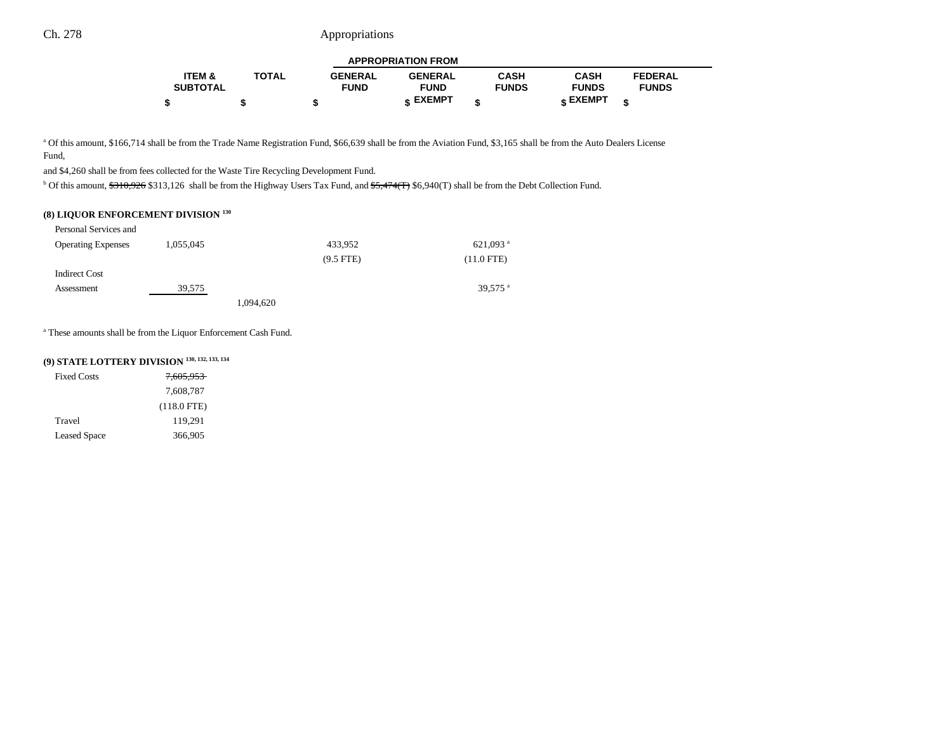|                   |              |                | <b>APPROPRIATION FROM</b> |              |                 |                |
|-------------------|--------------|----------------|---------------------------|--------------|-----------------|----------------|
| <b>ITEM &amp;</b> | <b>TOTAL</b> | <b>GENERAL</b> | <b>GENERAL</b>            | <b>CASH</b>  | <b>CASH</b>     | <b>FEDERAL</b> |
| <b>SUBTOTAL</b>   |              | <b>FUND</b>    | <b>FUND</b>               | <b>FUNDS</b> | <b>FUNDS</b>    | <b>FUNDS</b>   |
|                   |              |                | c EXEMPT                  |              | <b>« EXEMPT</b> |                |

٠

a Of this amount, \$166,714 shall be from the Trade Name Registration Fund, \$66,639 shall be from the Aviation Fund, \$3,165 shall be from the Auto Dealers License Fund,

and \$4,260 shall be from fees collected for the Waste Tire Recycling Development Fund.

<sup>b</sup> Of this amount, \$310,926 \$313,126 shall be from the Highway Users Tax Fund, and \$5,474(T) \$6,940(T) shall be from the Debt Collection Fund.

### **(8) LIQUOR ENFORCEMENT DIVISION 130**

| Personal Services and     |           |           |             |                   |
|---------------------------|-----------|-----------|-------------|-------------------|
| <b>Operating Expenses</b> | 1,055,045 |           | 433,952     | 621,093 $a$       |
|                           |           |           | $(9.5$ FTE) | $(11.0$ FTE)      |
| <b>Indirect Cost</b>      |           |           |             |                   |
| Assessment                | 39,575    |           |             | 39,575 $^{\rm a}$ |
|                           |           | 1,094,620 |             |                   |

a These amounts shall be from the Liquor Enforcement Cash Fund.

## **(9) STATE LOTTERY DIVISION 130, 132, 133, 134**

| <b>Fixed Costs</b>  | <del>7.605.953</del> |
|---------------------|----------------------|
|                     | 7.608.787            |
|                     | $(118.0$ FTE)        |
| Travel              | 119.291              |
| <b>Leased Space</b> | 366,905              |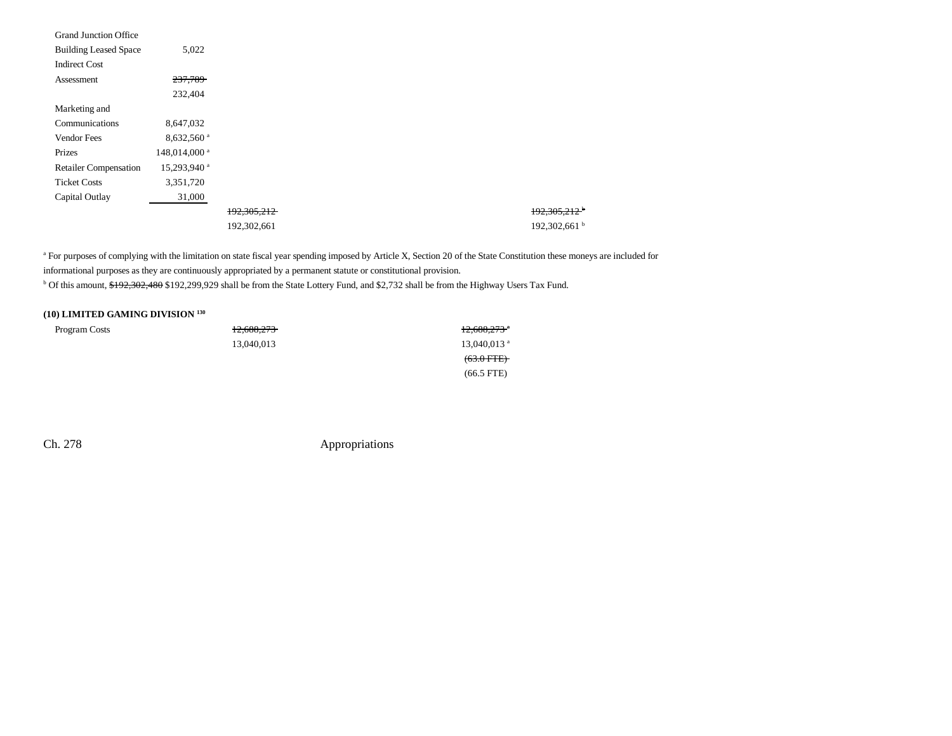| <b>Grand Junction Office</b> |                          |             |                          |
|------------------------------|--------------------------|-------------|--------------------------|
| <b>Building Leased Space</b> | 5,022                    |             |                          |
| <b>Indirect Cost</b>         |                          |             |                          |
| Assessment                   | 237,789                  |             |                          |
|                              | 232,404                  |             |                          |
| Marketing and                |                          |             |                          |
| Communications               | 8,647,032                |             |                          |
| <b>Vendor Fees</b>           | $8,632,560$ <sup>a</sup> |             |                          |
| Prizes                       | 148,014,000 <sup>a</sup> |             |                          |
| <b>Retailer Compensation</b> | 15,293,940 <sup>a</sup>  |             |                          |
| <b>Ticket Costs</b>          | 3,351,720                |             |                          |
| Capital Outlay               | 31,000                   |             |                          |
|                              |                          | 192,305,212 | 192,305,212 <sup>b</sup> |
|                              |                          | 192,302,661 | 192,302,661 <sup>b</sup> |

<sup>a</sup> For purposes of complying with the limitation on state fiscal year spending imposed by Article X, Section 20 of the State Constitution these moneys are included for informational purposes as they are continuously appropriated by a permanent statute or constitutional provision. <sup>b</sup> Of this amount, \$192,302,480 \$192,299,929 shall be from the State Lottery Fund, and \$2,732 shall be from the Highway Users Tax Fund.

### **(10) LIMITED GAMING DIVISION 130**

| Program Costs | 12,688,273 | $12,688,273$ $^{\circ}$   |
|---------------|------------|---------------------------|
|               | 13,040,013 | $13,040,013$ <sup>a</sup> |
|               |            | $(63.0$ FTE $)$           |
|               |            | $(66.5$ FTE)              |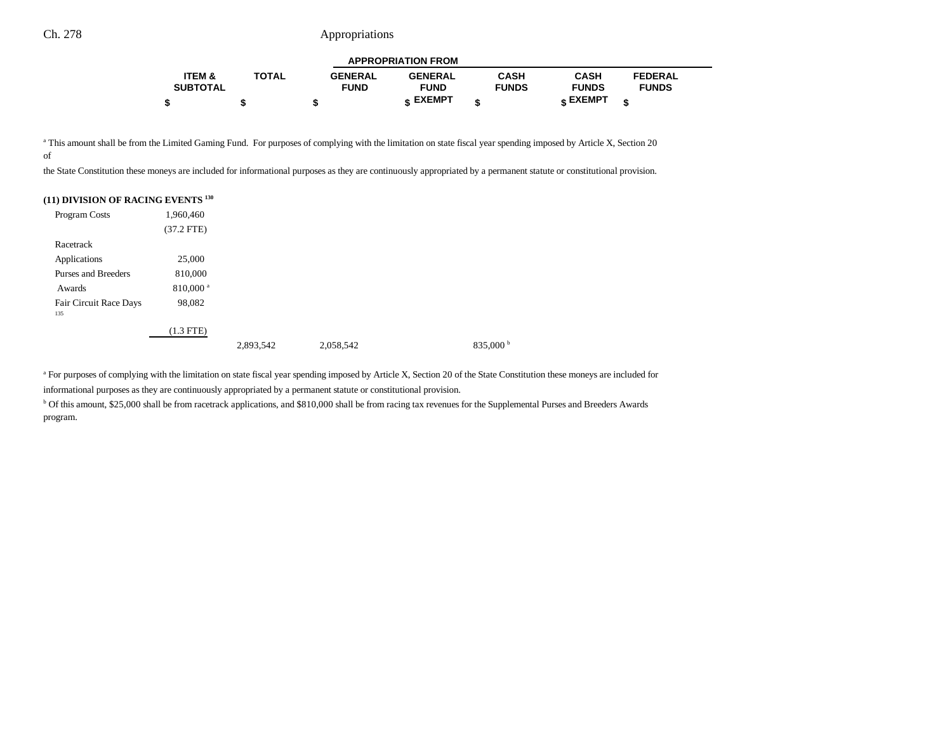| <b>APPROPRIATION FROM</b> |              |                |                |              |              |                |  |  |
|---------------------------|--------------|----------------|----------------|--------------|--------------|----------------|--|--|
| <b>ITEM &amp;</b>         | <b>TOTAL</b> | <b>GENERAL</b> | <b>GENERAL</b> | CASH         | <b>CASH</b>  | <b>FEDERAL</b> |  |  |
| <b>SUBTOTAL</b>           |              | <b>FUND</b>    | <b>FUND</b>    | <b>FUNDS</b> | <b>FUNDS</b> | <b>FUNDS</b>   |  |  |
|                           |              |                | <b>EXEMPT</b>  |              | EXEMPT ۽     | ¢              |  |  |

<sup>a</sup> This amount shall be from the Limited Gaming Fund. For purposes of complying with the limitation on state fiscal year spending imposed by Article X, Section 20 of

the State Constitution these moneys are included for informational purposes as they are continuously appropriated by a permanent statute or constitutional provision.

### **(11) DIVISION OF RACING EVENTS 130**

| Program Costs                 | 1,960,460            |           |           |                      |
|-------------------------------|----------------------|-----------|-----------|----------------------|
|                               | $(37.2$ FTE)         |           |           |                      |
| Racetrack                     |                      |           |           |                      |
| Applications                  | 25,000               |           |           |                      |
| Purses and Breeders           | 810,000              |           |           |                      |
| Awards                        | 810,000 <sup>a</sup> |           |           |                      |
| Fair Circuit Race Days<br>135 | 98,082               |           |           |                      |
|                               | $(1.3$ FTE)          |           |           |                      |
|                               |                      | 2,893,542 | 2,058,542 | 835,000 <sup>b</sup> |

<sup>a</sup> For purposes of complying with the limitation on state fiscal year spending imposed by Article X, Section 20 of the State Constitution these moneys are included for informational purposes as they are continuously appropriated by a permanent statute or constitutional provision.

b Of this amount, \$25,000 shall be from racetrack applications, and \$810,000 shall be from racing tax revenues for the Supplemental Purses and Breeders Awards program.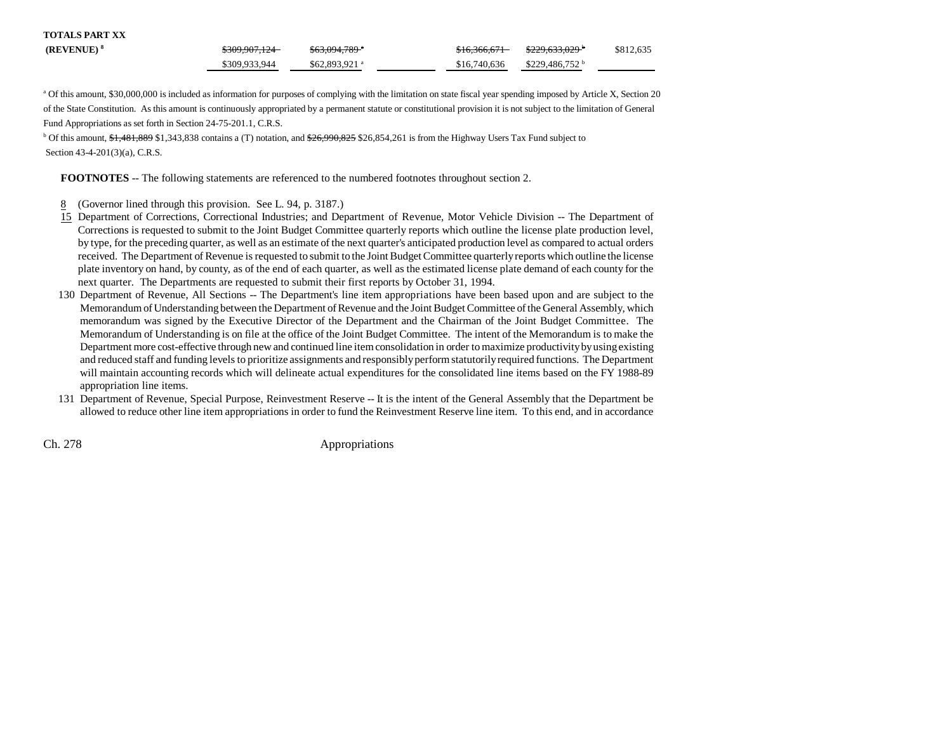| <b>TOTALS PART XX</b> |               |                            |              |                             |           |
|-----------------------|---------------|----------------------------|--------------|-----------------------------|-----------|
| $(REVENUE)^8$         | \$309,907,124 | $$63,094,789$ <sup>a</sup> | \$16,366,671 | <del>\$229,633,029</del>    | \$812,635 |
|                       | \$309,933,944 | $$62,893,921$ <sup>a</sup> | \$16,740,636 | $$229.486.752$ <sup>b</sup> |           |

a Of this amount, \$30,000,000 is included as information for purposes of complying with the limitation on state fiscal year spending imposed by Article X, Section 20 of the State Constitution. As this amount is continuously appropriated by a permanent statute or constitutional provision it is not subject to the limitation of General Fund Appropriations as set forth in Section 24-75-201.1, C.R.S.

<sup>b</sup> Of this amount,  $\frac{41,481,889,1,343,838}{1,343,838}$  contains a (T) notation, and  $\frac{26,990,825,526,854,261}{26,854,261}$  is from the Highway Users Tax Fund subject to Section 43-4-201(3)(a), C.R.S.

**FOOTNOTES** -- The following statements are referenced to the numbered footnotes throughout section 2.

- 8(Governor lined through this provision. See L. 94, p. 3187.)
- 15 Department of Corrections, Correctional Industries; and Department of Revenue, Motor Vehicle Division -- The Department of Corrections is requested to submit to the Joint Budget Committee quarterly reports which outline the license plate production level, by type, for the preceding quarter, as well as an estimate of the next quarter's anticipated production level as compared to actual orders received. The Department of Revenue is requested to submit to the Joint Budget Committee quarterly reports which outline the license plate inventory on hand, by county, as of the end of each quarter, as well as the estimated license plate demand of each county for the next quarter. The Departments are requested to submit their first reports by October 31, 1994.
- 130 Department of Revenue, All Sections -- The Department's line item appropriations have been based upon and are subject to the Memorandum of Understanding between the Department of Revenue and the Joint Budget Committee of the General Assembly, which memorandum was signed by the Executive Director of the Department and the Chairman of the Joint Budget Committee. The Memorandum of Understanding is on file at the office of the Joint Budget Committee. The intent of the Memorandum is to make the Department more cost-effective through new and continued line item consolidation in order to maximize productivity by using existing and reduced staff and funding levels to prioritize assignments and responsibly perform statutorily required functions. The Department will maintain accounting records which will delineate actual expenditures for the consolidated line items based on the FY 1988-89 appropriation line items.
- 131 Department of Revenue, Special Purpose, Reinvestment Reserve -- It is the intent of the General Assembly that the Department be allowed to reduce other line item appropriations in order to fund the Reinvestment Reserve line item. To this end, and in accordance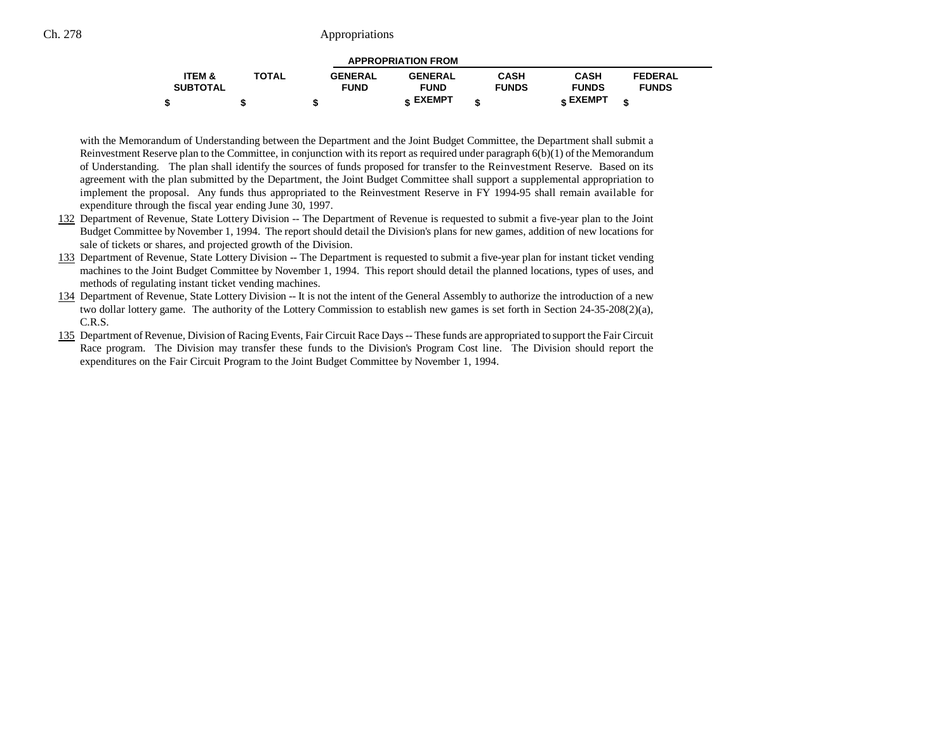| <b>APPROPRIATION FROM</b> |              |                |                 |              |              |                |  |  |
|---------------------------|--------------|----------------|-----------------|--------------|--------------|----------------|--|--|
| <b>ITEM &amp;</b>         | <b>TOTAL</b> | <b>GENERAL</b> | <b>GENERAL</b>  | <b>CASH</b>  | <b>CASH</b>  | <b>FEDERAL</b> |  |  |
| <b>SUBTOTAL</b>           |              | <b>FUND</b>    | <b>FUND</b>     | <b>FUNDS</b> | <b>FUNDS</b> | <b>FUNDS</b>   |  |  |
|                           |              |                | <b>« EXEMPT</b> |              | EXEMPT -     |                |  |  |

with the Memorandum of Understanding between the Department and the Joint Budget Committee, the Department shall submit a Reinvestment Reserve plan to the Committee, in conjunction with its report as required under paragraph 6(b)(1) of the Memorandu m of Understanding. The plan shall identify the sources of funds proposed for transfer to the Reinvestment Reserve. Based on its agreement with the plan submitted by the Department, the Joint Budget Committee shall support a supplemental appropriation to implement the proposal. Any funds thus appropriated to the Reinvestment Reserve in FY 1994-95 shall remain available for expenditure through the fiscal year ending June 30, 1997.

- 132 Department of Revenue, State Lottery Division -- The Department of Revenue is requested to submit a five-year plan to the Joint Budget Committee by November 1, 1994. The report should detail the Division's plans for new games, addition of new locations for sale of tickets or shares, and projected growth of the Division.
- 133 Department of Revenue, State Lottery Division -- The Department is requested to submit a five-year plan for instant ticket vending machines to the Joint Budget Committee by November 1, 1994. This report should detail the planned locations, types of uses, and methods of regulating instant ticket vending machines.
- 134 Department of Revenue, State Lottery Division -- It is not the intent of the General Assembly to authorize the introduction of a new two dollar lottery game. The authority of the Lottery Commission to establish new games is set forth in Section 24-35-208(2)(a), C.R.S.
- 135 Department of Revenue, Division of Racing Events, Fair Circuit Race Days -- These funds are appropriated to support the Fair Circuit Race program. The Division may transfer these funds to the Division's Program Cost line. The Division should report the expenditures on the Fair Circuit Program to the Joint Budget Committee by November 1, 1994.